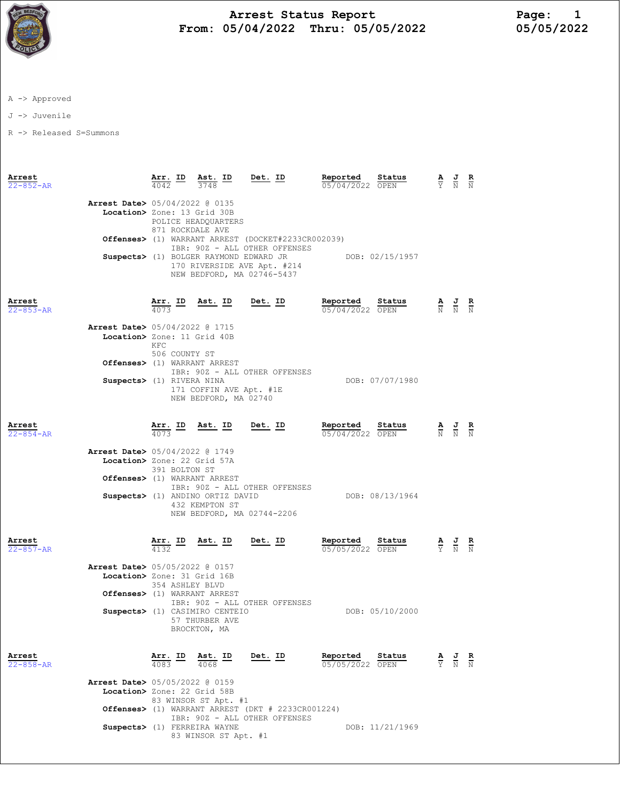

## Arrest Status Report<br>15/04/2022 Thru: 05/05/2022 15/05/05/2022 From:  $05/04/2022$  Thru:  $05/05/2022$

A -> Approved

J -> Juvenile

R -> Released S=Summons

| Arrest<br>$22 - 852 - AR$ |                                                                                               | Arr. ID<br>$\frac{4042}{ }$                                                                                            | Ast. ID<br>3748                                                  | $Det$ . ID                                                  | Reported<br>05/04/2022 OPEN | Status          |                                 | $\frac{\mathbf{A}}{\mathbf{Y}}$ $\frac{\mathbf{J}}{\mathbf{N}}$ $\frac{\mathbf{R}}{\mathbf{N}}$ |                        |
|---------------------------|-----------------------------------------------------------------------------------------------|------------------------------------------------------------------------------------------------------------------------|------------------------------------------------------------------|-------------------------------------------------------------|-----------------------------|-----------------|---------------------------------|-------------------------------------------------------------------------------------------------|------------------------|
|                           | <b>Arrest Date&gt;</b> 05/04/2022 @ 0135<br>Location> Zone: 13 Grid 30B                       | 871 ROCKDALE AVE                                                                                                       | POLICE HEADQUARTERS                                              |                                                             |                             |                 |                                 |                                                                                                 |                        |
|                           |                                                                                               | Offenses> (1) WARRANT ARREST (DOCKET#2233CR002039)<br>IBR: 90Z - ALL OTHER OFFENSES                                    |                                                                  |                                                             |                             |                 |                                 |                                                                                                 |                        |
|                           |                                                                                               | Suspects> (1) BOLGER RAYMOND EDWARD JR<br>DOB: 02/15/1957<br>170 RIVERSIDE AVE Apt. #214<br>NEW BEDFORD, MA 02746-5437 |                                                                  |                                                             |                             |                 |                                 |                                                                                                 |                        |
| Arrest<br>$22 - 853 - AR$ |                                                                                               |                                                                                                                        | $\frac{\texttt{Arr.}}{4073}$ ID Ast. ID Det. ID                  |                                                             | Reported<br>05/04/2022 OPEN | Status          |                                 | $\frac{\mathbf{A}}{\mathbb{N}}$ $\frac{\mathbf{J}}{\mathbb{N}}$ $\frac{\mathbf{R}}{\mathbb{N}}$ |                        |
|                           | <b>Arrest Date&gt;</b> 05/04/2022 @ 1715<br>Location> Zone: 11 Grid 40B                       | KFC<br>506 COUNTY ST                                                                                                   |                                                                  |                                                             |                             |                 |                                 |                                                                                                 |                        |
|                           | Offenses> (1) WARRANT ARREST<br>Suspects> (1) RIVERA NINA                                     |                                                                                                                        | 171 COFFIN AVE Apt. #1E<br>NEW BEDFORD, MA 02740                 | IBR: 90Z - ALL OTHER OFFENSES                               |                             | DOB: 07/07/1980 |                                 |                                                                                                 |                        |
| Arrest<br>$22 - 854 - AR$ |                                                                                               | $\frac{\texttt{Arr.}}{4073}$ ID                                                                                        | <u>Ast. ID</u>                                                   | <u>Det.</u> ID                                              | Reported<br>05/04/2022 OPEN | Status          |                                 | $\frac{\mathbf{A}}{\mathbf{N}}$ $\frac{\mathbf{J}}{\mathbf{N}}$ $\frac{\mathbf{R}}{\mathbf{N}}$ |                        |
|                           | Arrest Date> 05/04/2022 @ 1749<br>Location> Zone: 22 Grid 57A<br>Offenses> (1) WARRANT ARREST | 391 BOLTON ST                                                                                                          | Suspects> (1) ANDINO ORTIZ DAVID<br>432 KEMPTON ST               | IBR: 90Z - ALL OTHER OFFENSES<br>NEW BEDFORD, MA 02744-2206 |                             | DOB: 08/13/1964 |                                 |                                                                                                 |                        |
| Arrest<br>$22 - 857 - AR$ |                                                                                               | 4132                                                                                                                   | <u>Arr. ID Ast. ID</u>                                           | <u>Det. ID</u>                                              | Reported<br>05/05/2022 OPEN | Status          |                                 | $\frac{\mathbf{A}}{\mathbf{Y}}$ $\frac{\mathbf{J}}{\mathbf{N}}$ $\frac{\mathbf{R}}{\mathbf{N}}$ |                        |
|                           | Arrest Date> 05/05/2022 @ 0157<br>Location> Zone: 31 Grid 16B<br>Offenses> (1) WARRANT ARREST | 354 ASHLEY BLVD                                                                                                        | Suspects> (1) CASIMIRO CENTEIO<br>57 THURBER AVE<br>BROCKTON, MA | IBR: 90Z - ALL OTHER OFFENSES                               |                             | DOB: 05/10/2000 |                                 |                                                                                                 |                        |
| Arrest<br>22-858-AR       |                                                                                               | <u>Arr. ID</u><br>4083                                                                                                 | <u>Ast. ID</u><br>4068                                           | Det. ID                                                     | Reported<br>05/05/2022 OPEN | Status          | $\frac{\mathbf{A}}{\mathbf{Y}}$ | $\frac{J}{N}$                                                                                   | $\frac{\mathbf{R}}{N}$ |
|                           | Arrest Date> 05/05/2022 @ 0159<br>Location> Zone: 22 Grid 58B                                 |                                                                                                                        | 83 WINSOR ST Apt. #1                                             | Offenses> (1) WARRANT ARREST (DKT # 2233CR001224)           |                             |                 |                                 |                                                                                                 |                        |
|                           |                                                                                               |                                                                                                                        | Suspects> (1) FERREIRA WAYNE<br>83 WINSOR ST Apt. #1             | IBR: 90Z - ALL OTHER OFFENSES                               |                             | DOB: 11/21/1969 |                                 |                                                                                                 |                        |